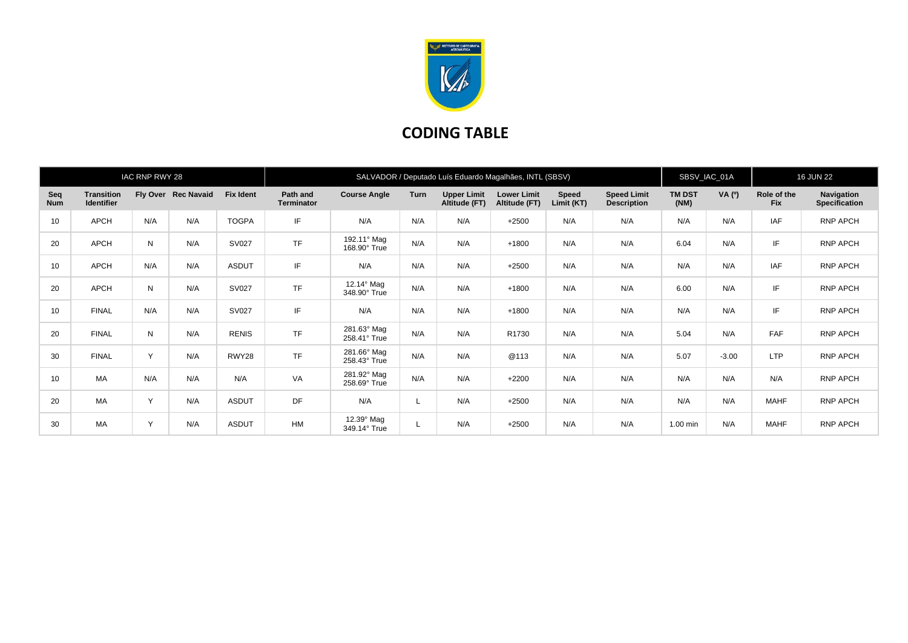

## **CODING TABLE**

|                   |                                        | IAC RNP RWY 28 |                     |                  | SALVADOR / Deputado Luís Eduardo Magalhães, INTL (SBSV) |                             |             |                                     |                                     |                            |                                          |                       | SBSV_IAC_01A |                           | <b>16 JUN 22</b>                   |  |
|-------------------|----------------------------------------|----------------|---------------------|------------------|---------------------------------------------------------|-----------------------------|-------------|-------------------------------------|-------------------------------------|----------------------------|------------------------------------------|-----------------------|--------------|---------------------------|------------------------------------|--|
| Seq<br><b>Num</b> | <b>Transition</b><br><b>Identifier</b> |                | Fly Over Rec Navaid | <b>Fix Ident</b> | Path and<br><b>Terminator</b>                           | <b>Course Angle</b>         | <b>Turn</b> | <b>Upper Limit</b><br>Altitude (FT) | <b>Lower Limit</b><br>Altitude (FT) | <b>Speed</b><br>Limit (KT) | <b>Speed Limit</b><br><b>Description</b> | <b>TM DST</b><br>(NM) | VA (0)       | Role of the<br><b>Fix</b> | Navigation<br><b>Specification</b> |  |
| 10                | APCH                                   | N/A            | N/A                 | <b>TOGPA</b>     | IF                                                      | N/A                         | N/A         | N/A                                 | $+2500$                             | N/A                        | N/A                                      | N/A                   | N/A          | <b>IAF</b>                | RNP APCH                           |  |
| 20                | APCH                                   | N              | N/A                 | SV027            | <b>TF</b>                                               | 192.11° Mag<br>168.90° True | N/A         | N/A                                 | $+1800$                             | N/A                        | N/A                                      | 6.04                  | N/A          | IF                        | RNP APCH                           |  |
| 10                | APCH                                   | N/A            | N/A                 | <b>ASDUT</b>     | IF                                                      | N/A                         | N/A         | N/A                                 | $+2500$                             | N/A                        | N/A                                      | N/A                   | N/A          | IAF                       | RNP APCH                           |  |
| 20                | APCH                                   | N              | N/A                 | SV027            | <b>TF</b>                                               | 12.14° Mag<br>348.90° True  | N/A         | N/A                                 | $+1800$                             | N/A                        | N/A                                      | 6.00                  | N/A          | IF                        | RNP APCH                           |  |
| 10                | <b>FINAL</b>                           | N/A            | N/A                 | <b>SV027</b>     | IF                                                      | N/A                         | N/A         | N/A                                 | $+1800$                             | N/A                        | N/A                                      | N/A                   | N/A          | IF                        | <b>RNP APCH</b>                    |  |
| 20                | <b>FINAL</b>                           | N              | N/A                 | <b>RENIS</b>     | <b>TF</b>                                               | 281.63° Mag<br>258.41° True | N/A         | N/A                                 | R1730                               | N/A                        | N/A                                      | 5.04                  | N/A          | <b>FAF</b>                | RNP APCH                           |  |
| 30                | <b>FINAL</b>                           | Y              | N/A                 | RWY28            | <b>TF</b>                                               | 281.66° Mag<br>258.43° True | N/A         | N/A                                 | @113                                | N/A                        | N/A                                      | 5.07                  | $-3.00$      | <b>LTP</b>                | RNP APCH                           |  |
| 10                | <b>MA</b>                              | N/A            | N/A                 | N/A              | VA                                                      | 281.92° Mag<br>258.69° True | N/A         | N/A                                 | $+2200$                             | N/A                        | N/A                                      | N/A                   | N/A          | N/A                       | RNP APCH                           |  |
| 20                | MA                                     | $\vee$         | N/A                 | <b>ASDUT</b>     | <b>DF</b>                                               | N/A                         |             | N/A                                 | $+2500$                             | N/A                        | N/A                                      | N/A                   | N/A          | <b>MAHF</b>               | RNP APCH                           |  |
| 30                | MA                                     | $\checkmark$   | N/A                 | <b>ASDUT</b>     | HM                                                      | 12.39° Mag<br>349.14° True  |             | N/A                                 | $+2500$                             | N/A                        | N/A                                      | 1.00 min              | N/A          | <b>MAHF</b>               | RNP APCH                           |  |